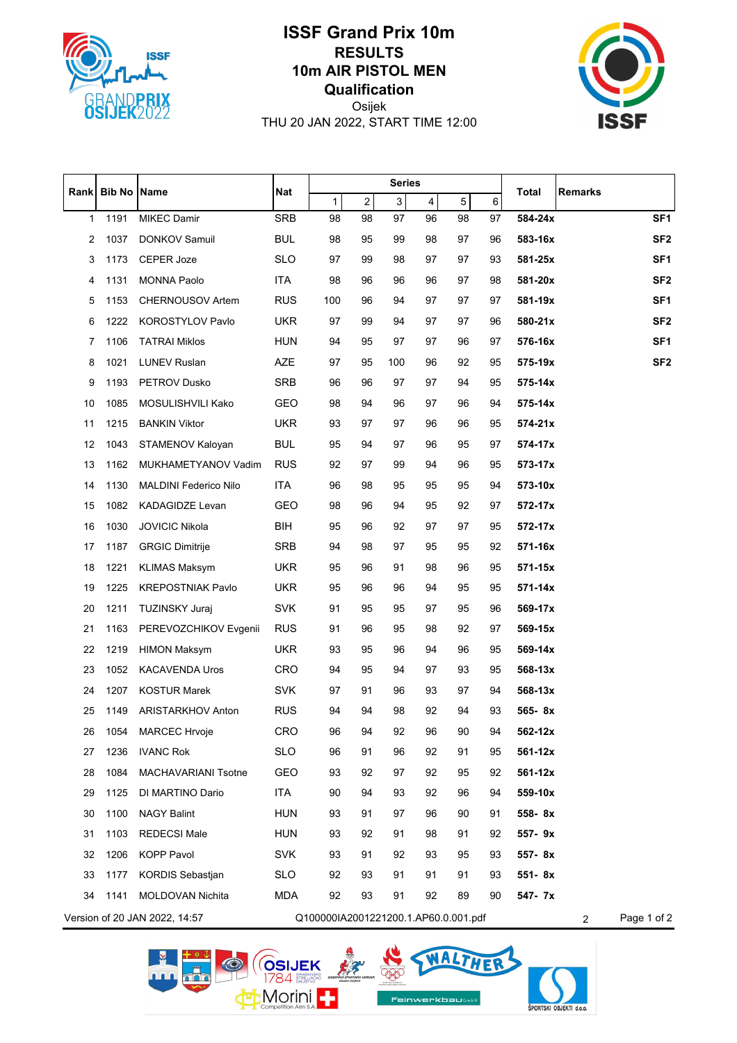

## **ISSF Grand Prix 10m RESULTS 10m AIR PISTOL MEN Qualification**



Osijek THU 20 JAN 2022, START TIME 12:00

|      | <b>Bib No</b> | <b>Name</b>                   | <b>Nat</b> | <b>Series</b>                        |            |                |                         |    |    |             |                               |                 |
|------|---------------|-------------------------------|------------|--------------------------------------|------------|----------------|-------------------------|----|----|-------------|-------------------------------|-----------------|
| Rank |               |                               |            | $\mathbf{1}$                         | $\sqrt{2}$ | $\overline{3}$ | $\overline{\mathbf{4}}$ | 5  | 6  | Total       | Remarks                       |                 |
| 1    | 1191          | <b>MIKEC Damir</b>            | <b>SRB</b> | 98                                   | 98         | 97             | 96                      | 98 | 97 | 584-24x     |                               | SF <sub>1</sub> |
| 2    | 1037          | <b>DONKOV Samuil</b>          | <b>BUL</b> | 98                                   | 95         | 99             | 98                      | 97 | 96 | 583-16x     |                               | SF <sub>2</sub> |
| 3    | 1173          | <b>CEPER Joze</b>             | <b>SLO</b> | 97                                   | 99         | 98             | 97                      | 97 | 93 | 581-25x     |                               | SF <sub>1</sub> |
| 4    | 1131          | <b>MONNA Paolo</b>            | <b>ITA</b> | 98                                   | 96         | 96             | 96                      | 97 | 98 | 581-20x     |                               | SF <sub>2</sub> |
| 5    | 1153          | CHERNOUSOV Artem              | <b>RUS</b> | 100                                  | 96         | 94             | 97                      | 97 | 97 | 581-19x     |                               | SF <sub>1</sub> |
| 6    | 1222          | <b>KOROSTYLOV Pavlo</b>       | <b>UKR</b> | 97                                   | 99         | 94             | 97                      | 97 | 96 | 580-21x     |                               | SF <sub>2</sub> |
| 7    | 1106          | <b>TATRAI Miklos</b>          | <b>HUN</b> | 94                                   | 95         | 97             | 97                      | 96 | 97 | 576-16x     |                               | SF <sub>1</sub> |
| 8    | 1021          | <b>LUNEV Ruslan</b>           | <b>AZE</b> | 97                                   | 95         | 100            | 96                      | 92 | 95 | 575-19x     |                               | SF <sub>2</sub> |
| 9    | 1193          | <b>PETROV Dusko</b>           | <b>SRB</b> | 96                                   | 96         | 97             | 97                      | 94 | 95 | 575-14x     |                               |                 |
| 10   | 1085          | MOSULISHVILI Kako             | GEO        | 98                                   | 94         | 96             | 97                      | 96 | 94 | 575-14x     |                               |                 |
| 11   | 1215          | <b>BANKIN Viktor</b>          | <b>UKR</b> | 93                                   | 97         | 97             | 96                      | 96 | 95 | 574-21x     |                               |                 |
| 12   | 1043          | STAMENOV Kaloyan              | <b>BUL</b> | 95                                   | 94         | 97             | 96                      | 95 | 97 | 574-17x     |                               |                 |
| 13   | 1162          | MUKHAMETYANOV Vadim           | <b>RUS</b> | 92                                   | 97         | 99             | 94                      | 96 | 95 | 573-17x     |                               |                 |
| 14   | 1130          | <b>MALDINI Federico Nilo</b>  | <b>ITA</b> | 96                                   | 98         | 95             | 95                      | 95 | 94 | 573-10x     |                               |                 |
| 15   | 1082          | <b>KADAGIDZE Levan</b>        | <b>GEO</b> | 98                                   | 96         | 94             | 95                      | 92 | 97 | 572-17x     |                               |                 |
| 16   | 1030          | <b>JOVICIC Nikola</b>         | BIH        | 95                                   | 96         | 92             | 97                      | 97 | 95 | 572-17x     |                               |                 |
| 17   | 1187          | <b>GRGIC Dimitrije</b>        | <b>SRB</b> | 94                                   | 98         | 97             | 95                      | 95 | 92 | 571-16x     |                               |                 |
| 18   | 1221          | <b>KLIMAS Maksym</b>          | <b>UKR</b> | 95                                   | 96         | 91             | 98                      | 96 | 95 | $571 - 15x$ |                               |                 |
| 19   | 1225          | <b>KREPOSTNIAK Pavlo</b>      | <b>UKR</b> | 95                                   | 96         | 96             | 94                      | 95 | 95 | 571-14x     |                               |                 |
| 20   | 1211          | <b>TUZINSKY Juraj</b>         | <b>SVK</b> | 91                                   | 95         | 95             | 97                      | 95 | 96 | 569-17x     |                               |                 |
| 21   | 1163          | PEREVOZCHIKOV Evgenii         | <b>RUS</b> | 91                                   | 96         | 95             | 98                      | 92 | 97 | 569-15x     |                               |                 |
| 22   | 1219          | <b>HIMON Maksym</b>           | <b>UKR</b> | 93                                   | 95         | 96             | 94                      | 96 | 95 | 569-14x     |                               |                 |
| 23   | 1052          | <b>KACAVENDA Uros</b>         | <b>CRO</b> | 94                                   | 95         | 94             | 97                      | 93 | 95 | 568-13x     |                               |                 |
| 24   | 1207          | <b>KOSTUR Marek</b>           | <b>SVK</b> | 97                                   | 91         | 96             | 93                      | 97 | 94 | 568-13x     |                               |                 |
| 25   | 1149          | <b>ARISTARKHOV Anton</b>      | <b>RUS</b> | 94                                   | 94         | 98             | 92                      | 94 | 93 | 565-8x      |                               |                 |
| 26   | 1054          | <b>MARCEC Hrvoje</b>          | <b>CRO</b> | 96                                   | 94         | 92             | 96                      | 90 | 94 | 562-12x     |                               |                 |
| 27   | 1236          | <b>IVANC Rok</b>              | <b>SLO</b> | 96                                   | 91         | 96             | 92                      | 91 | 95 | 561-12x     |                               |                 |
| 28   | 1084          | MACHAVARIANI Tsotne           | <b>GEO</b> | 93                                   | 92         | 97             | 92                      | 95 | 92 | 561-12x     |                               |                 |
| 29   | 1125          | DI MARTINO Dario              | <b>ITA</b> | 90                                   | 94         | 93             | 92                      | 96 | 94 | 559-10x     |                               |                 |
| 30   | 1100          | <b>NAGY Balint</b>            | <b>HUN</b> | 93                                   | 91         | 97             | 96                      | 90 | 91 | 558-8x      |                               |                 |
| 31   | 1103          | <b>REDECSI Male</b>           | <b>HUN</b> | 93                                   | 92         | 91             | 98                      | 91 | 92 | 557-9x      |                               |                 |
| 32   | 1206          | <b>KOPP Pavol</b>             | <b>SVK</b> | 93                                   | 91         | 92             | 93                      | 95 | 93 | 557-8x      |                               |                 |
| 33   | 1177          | <b>KORDIS Sebastjan</b>       | <b>SLO</b> | 92                                   | 93         | 91             | 91                      | 91 | 93 | 551-8x      |                               |                 |
| 34   | 1141          | MOLDOVAN Nichita              | <b>MDA</b> | 92                                   | 93         | 91             | 92                      | 89 | 90 | 547- 7x     |                               |                 |
|      |               | Version of 20 JAN 2022, 14:57 |            | Q100000IA2001221200.1.AP60.0.001.pdf |            |                |                         |    |    |             | Page 1 of 2<br>$\overline{2}$ |                 |